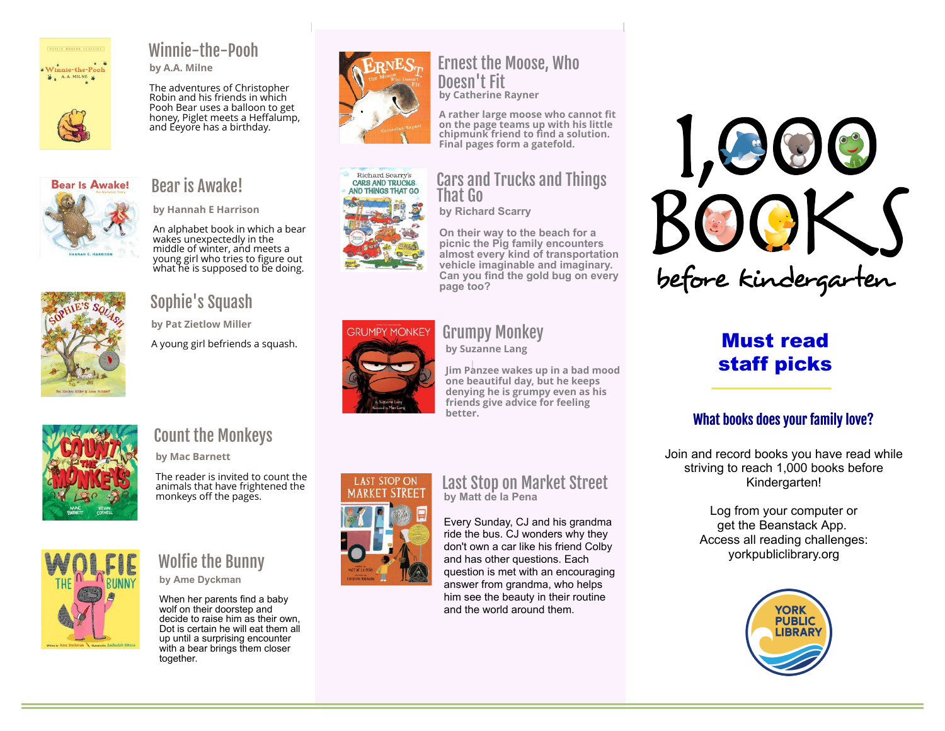

# Winnie-the-Pooh

by A.A. Milne

The adventures of Christopher Robin and his friends in which Pooh Bear uses a balloon to get hone y, Piglet meets a Heffalump, and Eeyore has a birthday .



# Bear is Awake!

by Hannah E Harrison<br>An alphabet book in which<br>wakes unexpectedly in the<br>middle of winter, and mee<br>young girl who tries to figu<br>what he is supposed to be<br>**SOPhie's SQUASh**<br>by Pat Zietlow Miller<br>A young girl befriends a sq<br> An alphabet book in which a bear wakes unexpectedly in the middle of winter, and meets a young girl who tries to figure out what he is supposed to be doing.



# Sophie's Squash

by Pat Zietlow Miller A young girl befriends a squash.





# Ernest the Moose, Who Doesn't Fit<br>by Catherine Rayner

A rather large moose who cannot fit on the page teams up with his little chipmunk friend to find a solution. Final pages form a gatefold.

### **by Richard Scarry** Cars and Trucks and Things That Go

**On their way to the beach for a picnic the Pig family encounters almost every kind of transportation vehicle imaginable and imaginary . Can you find the gold bug on every page too?**

### **GRUMPY MONKEY** Grumpy Monkey by Suzanne Lang

Jim Panzee wakes up in a bad mood one beautiful day, but he keeps denying he is grumpy even as his friends give advice for feeling better.

# BOOKS

# Must read staff picks

## What books does your family love?

Join and record books you have read while striving to reach 1,000 books before Kindergarten!

> Log from your computer or get the Beanstack App. Access all reading challenges: yorkpubliclibrary.org





by Mac Barnett

The reader is invited to count the animals that have frightened the monk eys off the pages.



# Wolfie the Bunny

### **by Ame Dyckman**

When her parents find a baby wolf on their doorstep and decide to raise him as their own, Dot is certain he will eat them all up until a surprising encounter with a bear brings them closer together.



### Last Stop on Market Street **by Matt de la Pena**

Every Sunday, CJ and his grandma ride the bus. CJ wonders why they don't own a car like his friend Colby and has other questions. Each question is met with an encouraging answer from grandma, who helps him see the beauty in their routine and the world around them.